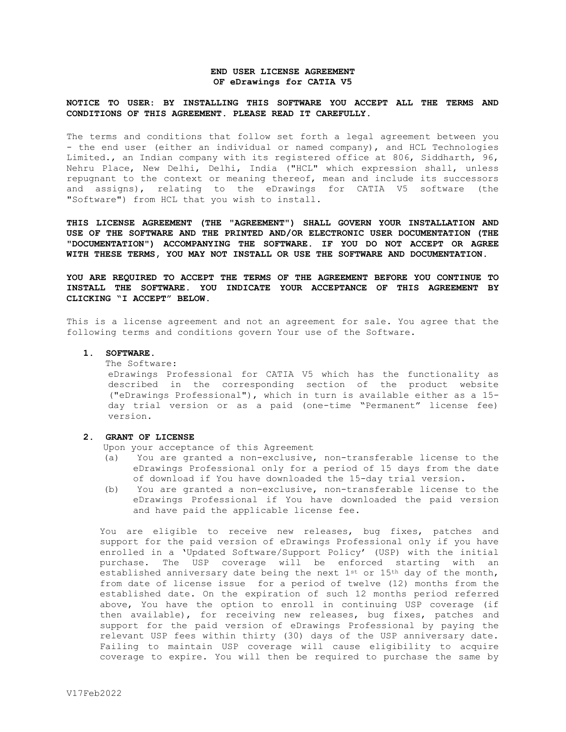## **END USER LICENSE AGREEMENT OF eDrawings for CATIA V5**

## **NOTICE TO USER: BY INSTALLING THIS SOFTWARE YOU ACCEPT ALL THE TERMS AND CONDITIONS OF THIS AGREEMENT. PLEASE READ IT CAREFULLY.**

The terms and conditions that follow set forth a legal agreement between you - the end user (either an individual or named company), and HCL Technologies Limited., an Indian company with its registered office at 806, Siddharth, 96, Nehru Place, New Delhi, Delhi, India ("HCL" which expression shall, unless repugnant to the context or meaning thereof, mean and include its successors and assigns), relating to the eDrawings for CATIA V5 software (the "Software") from HCL that you wish to install.

**THIS LICENSE AGREEMENT (THE "AGREEMENT") SHALL GOVERN YOUR INSTALLATION AND USE OF THE SOFTWARE AND THE PRINTED AND/OR ELECTRONIC USER DOCUMENTATION (THE "DOCUMENTATION") ACCOMPANYING THE SOFTWARE. IF YOU DO NOT ACCEPT OR AGREE WITH THESE TERMS, YOU MAY NOT INSTALL OR USE THE SOFTWARE AND DOCUMENTATION.** 

**YOU ARE REQUIRED TO ACCEPT THE TERMS OF THE AGREEMENT BEFORE YOU CONTINUE TO INSTALL THE SOFTWARE. YOU INDICATE YOUR ACCEPTANCE OF THIS AGREEMENT BY CLICKING "I ACCEPT" BELOW.**

This is a license agreement and not an agreement for sale. You agree that the following terms and conditions govern Your use of the Software.

#### **1. SOFTWARE.**

#### The Software:

eDrawings Professional for CATIA V5 which has the functionality as described in the corresponding section of the product website ("eDrawings Professional"), which in turn is available either as a 15 day trial version or as a paid (one-time "Permanent" license fee) version**.** 

#### **2. GRANT OF LICENSE**

Upon your acceptance of this Agreement

- (a) You are granted a non-exclusive, non-transferable license to the eDrawings Professional only for a period of 15 days from the date of download if You have downloaded the 15-day trial version.
- (b) You are granted a non-exclusive, non-transferable license to the eDrawings Professional if You have downloaded the paid version and have paid the applicable license fee.

You are eligible to receive new releases, bug fixes, patches and support for the paid version of eDrawings Professional only if you have enrolled in a 'Updated Software/Support Policy' (USP) with the initial purchase. The USP coverage will be enforced starting with an established anniversary date being the next  $1^{st}$  or  $15^{th}$  day of the month, from date of license issue for a period of twelve (12) months from the established date. On the expiration of such 12 months period referred above, You have the option to enroll in continuing USP coverage (if then available), for receiving new releases, bug fixes, patches and support for the paid version of eDrawings Professional by paying the relevant USP fees within thirty (30) days of the USP anniversary date. Failing to maintain USP coverage will cause eligibility to acquire coverage to expire. You will then be required to purchase the same by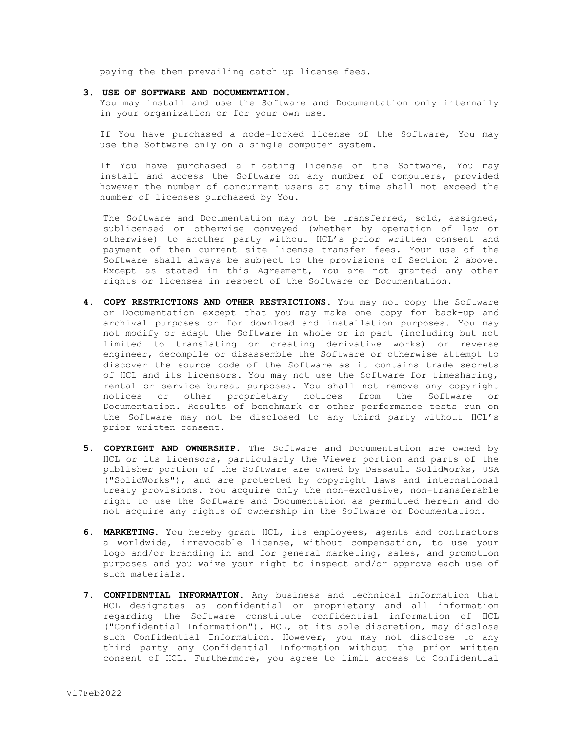paying the then prevailing catch up license fees.

### **3. USE OF SOFTWARE AND DOCUMENTATION.**

You may install and use the Software and Documentation only internally in your organization or for your own use.

If You have purchased a node-locked license of the Software, You may use the Software only on a single computer system.

If You have purchased a floating license of the Software, You may install and access the Software on any number of computers, provided however the number of concurrent users at any time shall not exceed the number of licenses purchased by You.

The Software and Documentation may not be transferred, sold, assigned, sublicensed or otherwise conveyed (whether by operation of law or otherwise) to another party without HCL's prior written consent and payment of then current site license transfer fees. Your use of the Software shall always be subject to the provisions of Section 2 above. Except as stated in this Agreement, You are not granted any other rights or licenses in respect of the Software or Documentation.

- **4. COPY RESTRICTIONS AND OTHER RESTRICTIONS.** You may not copy the Software or Documentation except that you may make one copy for back-up and archival purposes or for download and installation purposes. You may not modify or adapt the Software in whole or in part (including but not limited to translating or creating derivative works) or reverse engineer, decompile or disassemble the Software or otherwise attempt to discover the source code of the Software as it contains trade secrets of HCL and its licensors. You may not use the Software for timesharing, rental or service bureau purposes. You shall not remove any copyright notices or other proprietary notices from the Software or Documentation. Results of benchmark or other performance tests run on the Software may not be disclosed to any third party without HCL's prior written consent.
- **5. COPYRIGHT AND OWNERSHIP.** The Software and Documentation are owned by HCL or its licensors, particularly the Viewer portion and parts of the publisher portion of the Software are owned by Dassault SolidWorks, USA ("SolidWorks"), and are protected by copyright laws and international treaty provisions. You acquire only the non-exclusive, non-transferable right to use the Software and Documentation as permitted herein and do not acquire any rights of ownership in the Software or Documentation.
- **6. MARKETING.** You hereby grant HCL, its employees, agents and contractors a worldwide, irrevocable license, without compensation, to use your logo and/or branding in and for general marketing, sales, and promotion purposes and you waive your right to inspect and/or approve each use of such materials.
- **7. CONFIDENTIAL INFORMATION.** Any business and technical information that HCL designates as confidential or proprietary and all information regarding the Software constitute confidential information of HCL ("Confidential Information"). HCL, at its sole discretion, may disclose such Confidential Information. However, you may not disclose to any third party any Confidential Information without the prior written consent of HCL. Furthermore, you agree to limit access to Confidential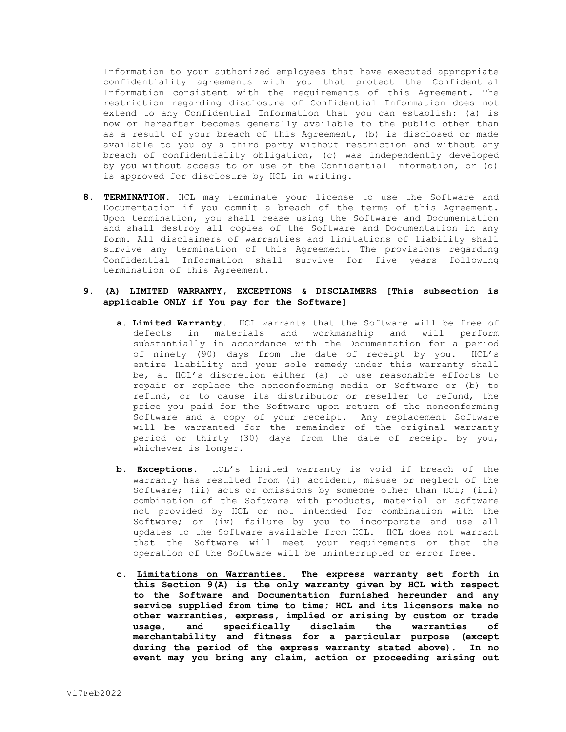Information to your authorized employees that have executed appropriate confidentiality agreements with you that protect the Confidential Information consistent with the requirements of this Agreement. The restriction regarding disclosure of Confidential Information does not extend to any Confidential Information that you can establish: (a) is now or hereafter becomes generally available to the public other than as a result of your breach of this Agreement, (b) is disclosed or made available to you by a third party without restriction and without any breach of confidentiality obligation, (c) was independently developed by you without access to or use of the Confidential Information, or (d) is approved for disclosure by HCL in writing.

**8. TERMINATION.** HCL may terminate your license to use the Software and Documentation if you commit a breach of the terms of this Agreement. Upon termination, you shall cease using the Software and Documentation and shall destroy all copies of the Software and Documentation in any form. All disclaimers of warranties and limitations of liability shall survive any termination of this Agreement. The provisions regarding Confidential Information shall survive for five years following termination of this Agreement.

# **9. (A) LIMITED WARRANTY, EXCEPTIONS & DISCLAIMERS [This subsection is applicable ONLY if You pay for the Software]**

- **a. Limited Warranty.** HCL warrants that the Software will be free of defects in materials and workmanship and will perform substantially in accordance with the Documentation for a period of ninety (90) days from the date of receipt by you. HCL's entire liability and your sole remedy under this warranty shall be, at HCL's discretion either (a) to use reasonable efforts to repair or replace the nonconforming media or Software or (b) to refund, or to cause its distributor or reseller to refund, the price you paid for the Software upon return of the nonconforming Software and a copy of your receipt. Any replacement Software will be warranted for the remainder of the original warranty period or thirty (30) days from the date of receipt by you, whichever is longer.
- **b. Exceptions.** HCL's limited warranty is void if breach of the warranty has resulted from (i) accident, misuse or neglect of the Software; (ii) acts or omissions by someone other than HCL; (iii) combination of the Software with products, material or software not provided by HCL or not intended for combination with the Software; or (iv) failure by you to incorporate and use all updates to the Software available from HCL. HCL does not warrant that the Software will meet your requirements or that the operation of the Software will be uninterrupted or error free.
- **c. Limitations on Warranties. The express warranty set forth in this Section 9(A) is the only warranty given by HCL with respect to the Software and Documentation furnished hereunder and any service supplied from time to time; HCL and its licensors make no other warranties, express, implied or arising by custom or trade usage, and specifically disclaim the warranties of merchantability and fitness for a particular purpose (except during the period of the express warranty stated above). In no event may you bring any claim, action or proceeding arising out**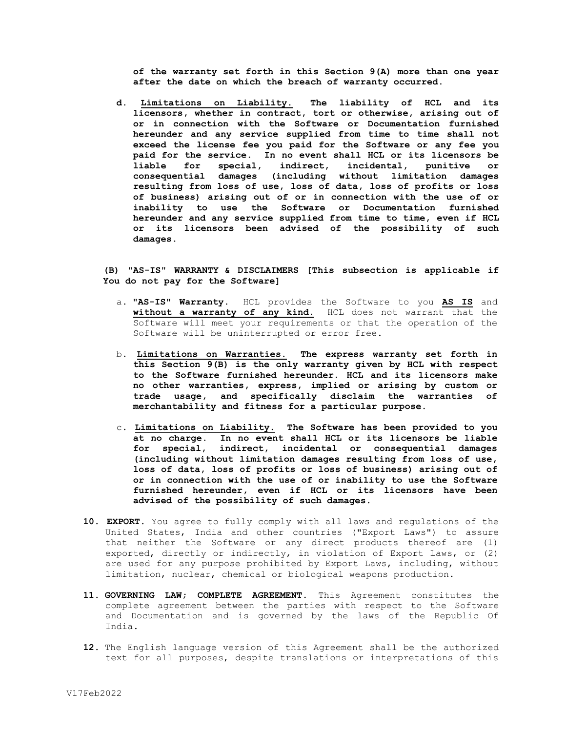**of the warranty set forth in this Section 9(A) more than one year after the date on which the breach of warranty occurred.**

**d. Limitations on Liability. The liability of HCL and its licensors, whether in contract, tort or otherwise, arising out of or in connection with the Software or Documentation furnished hereunder and any service supplied from time to time shall not exceed the license fee you paid for the Software or any fee you paid for the service. In no event shall HCL or its licensors be liable for special, indirect, incidental, punitive or consequential damages (including without limitation damages resulting from loss of use, loss of data, loss of profits or loss of business) arising out of or in connection with the use of or inability to use the Software or Documentation furnished hereunder and any service supplied from time to time, even if HCL or its licensors been advised of the possibility of such damages.**

# **(B) "AS-IS" WARRANTY & DISCLAIMERS [This subsection is applicable if You do not pay for the Software]**

- a. **"AS-IS" Warranty.** HCL provides the Software to you **AS IS** and **without a warranty of any kind.** HCL does not warrant that the Software will meet your requirements or that the operation of the Software will be uninterrupted or error free**.**
- b. **Limitations on Warranties. The express warranty set forth in this Section 9(B) is the only warranty given by HCL with respect to the Software furnished hereunder. HCL and its licensors make no other warranties, express, implied or arising by custom or trade usage, and specifically disclaim the warranties of merchantability and fitness for a particular purpose.**
- c. **Limitations on Liability. The Software has been provided to you at no charge. In no event shall HCL or its licensors be liable for special, indirect, incidental or consequential damages (including without limitation damages resulting from loss of use, loss of data, loss of profits or loss of business) arising out of or in connection with the use of or inability to use the Software furnished hereunder, even if HCL or its licensors have been advised of the possibility of such damages.**
- **10. EXPORT.** You agree to fully comply with all laws and regulations of the United States, India and other countries ("Export Laws") to assure that neither the Software or any direct products thereof are (1) exported, directly or indirectly, in violation of Export Laws, or (2) are used for any purpose prohibited by Export Laws, including, without limitation, nuclear, chemical or biological weapons production.
- **11. GOVERNING LAW; COMPLETE AGREEMENT.** This Agreement constitutes the complete agreement between the parties with respect to the Software and Documentation and is governed by the laws of the Republic Of India.
- **12.** The English language version of this Agreement shall be the authorized text for all purposes, despite translations or interpretations of this